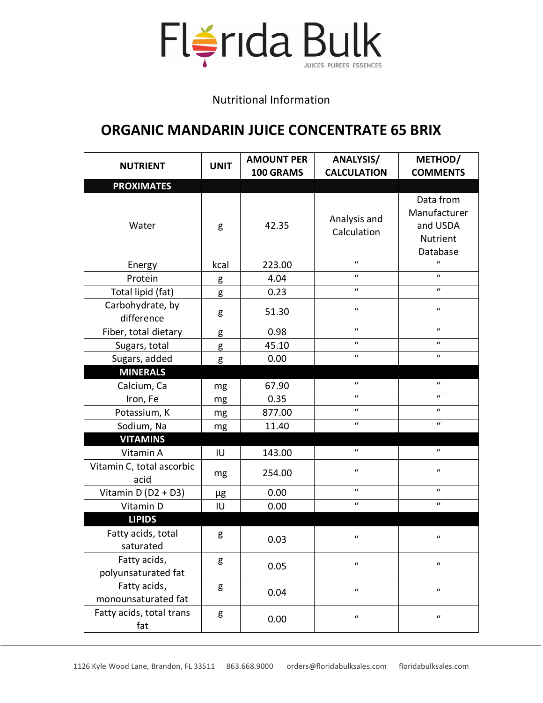

Nutritional Information

## **ORGANIC MANDARIN JUICE CONCENTRATE 65 BRIX**

| <b>NUTRIENT</b>                     | <b>UNIT</b> | <b>AMOUNT PER</b><br>100 GRAMS | ANALYSIS/<br><b>CALCULATION</b> | METHOD/<br><b>COMMENTS</b>                                    |
|-------------------------------------|-------------|--------------------------------|---------------------------------|---------------------------------------------------------------|
| <b>PROXIMATES</b>                   |             |                                |                                 |                                                               |
| Water                               | g           | 42.35                          | Analysis and<br>Calculation     | Data from<br>Manufacturer<br>and USDA<br>Nutrient<br>Database |
| Energy                              | kcal        | 223.00                         | $\mathbf{u}$                    | $\mathbf{u}$                                                  |
| Protein                             | g           | 4.04                           | $\mathbf{u}$                    | $\boldsymbol{u}$                                              |
| Total lipid (fat)                   | g           | 0.23                           | $\boldsymbol{u}$                | $\boldsymbol{u}$                                              |
| Carbohydrate, by<br>difference      | g           | 51.30                          | $\boldsymbol{u}$                | $\boldsymbol{u}$                                              |
| Fiber, total dietary                | g           | 0.98                           | $\mathbf{u}$                    | $\boldsymbol{u}$                                              |
| Sugars, total                       | g           | 45.10                          | $\mathbf{u}$                    | $\boldsymbol{u}$                                              |
| Sugars, added                       | g           | 0.00                           | $\mathbf{u}$                    | $\boldsymbol{u}$                                              |
| <b>MINERALS</b>                     |             |                                |                                 |                                                               |
| Calcium, Ca                         | mg          | 67.90                          | $\boldsymbol{u}$                | $\boldsymbol{u}$                                              |
| Iron, Fe                            | mg          | 0.35                           | $\boldsymbol{u}$                | $\boldsymbol{u}$                                              |
| Potassium, K                        | mg          | 877.00                         | $\boldsymbol{u}$                | $\boldsymbol{u}$                                              |
| Sodium, Na                          | mg          | 11.40                          | $\boldsymbol{u}$                | $\boldsymbol{u}$                                              |
| <b>VITAMINS</b>                     |             |                                |                                 |                                                               |
| Vitamin A                           | IU          | 143.00                         | $\boldsymbol{u}$                | $\boldsymbol{u}$                                              |
| Vitamin C, total ascorbic<br>acid   | mg          | 254.00                         | $\boldsymbol{u}$                | $\boldsymbol{u}$                                              |
| Vitamin $D(D2 + D3)$                | μg          | 0.00                           | $\boldsymbol{u}$                | $\boldsymbol{u}$                                              |
| Vitamin D                           | IU          | 0.00                           | $\boldsymbol{u}$                | $\boldsymbol{u}$                                              |
| <b>LIPIDS</b>                       |             |                                |                                 |                                                               |
| Fatty acids, total<br>saturated     | g           | 0.03                           | $\boldsymbol{u}$                | $\boldsymbol{u}$                                              |
| Fatty acids,<br>polyunsaturated fat | g           | 0.05                           | $\boldsymbol{u}$                | $\boldsymbol{u}$                                              |
| Fatty acids,<br>monounsaturated fat | g           | 0.04                           | $\boldsymbol{u}$                | $\boldsymbol{u}$                                              |
| Fatty acids, total trans<br>fat     | g           | 0.00                           | $\boldsymbol{\mathcal{U}}$      | $\boldsymbol{\mathcal{U}}$                                    |